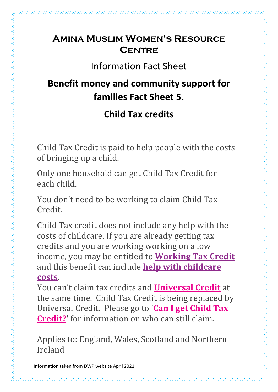### **Amina Muslim Women's Resource Centre**

Information Fact Sheet

### **Benefit money and community support for families Fact Sheet 5.**

### **Child Tax credits**

Child Tax Credit is paid to help people with the costs of bringing up a child.

Only one household can get Child Tax Credit for each child.

You don't need to be working to claim Child Tax Credit.

Child Tax credit does not include any help with the costs of childcare. If you are already getting tax credits and you are working working on a low income, you may be entitled to **[Working](https://www.turn2us.org.uk/Benefit-guides/Working-Tax-Credit/What-is-Working-Tax-Credit) Tax Credit** and this benefit can include **help with [childcare](https://www.turn2us.org.uk/Benefit-guides/Help-with-Childcare-Costs/Help-with-Childcare-Costs-when-You-are-Working) [costs](https://www.turn2us.org.uk/Benefit-guides/Help-with-Childcare-Costs/Help-with-Childcare-Costs-when-You-are-Working)**.

You can't claim tax credits and **[Universal](https://www.turn2us.org.uk/Benefit-guides/Universal-Credit/What-is-Universal-Credit) Credit** at the same time. Child Tax Credit is being replaced by Universal Credit. Please go to '**Can I get [Child](https://www.turn2us.org.uk/Benefit-guides/Child-Tax-Credit/Who-can-get-Child-Tax-Credit) Tax [Credit?](https://www.turn2us.org.uk/Benefit-guides/Child-Tax-Credit/Who-can-get-Child-Tax-Credit)**' for information on who can still claim.

Applies to: England, Wales, Scotland and Northern Ireland

Information taken from DWP website April 2021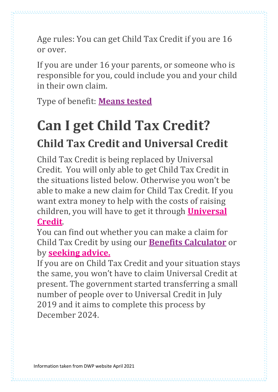Age rules: You can get Child Tax Credit if you are 16 or over.

If you are under 16 your parents, or someone who is responsible for you, could include you and your child in their own claim.

Type of benefit: **[Means](https://www.turn2us.org.uk/jargon-buster/Means-tested-benefits) tested**

# **Can I get Child Tax Credit? Child Tax Credit and Universal Credit**

Child Tax Credit is being replaced by Universal Credit. You will only able to get Child Tax Credit in the situations listed below. Otherwise you won't be able to make a new claim for Child Tax Credit. If you want extra money to help with the costs of raising children, you will have to get it through **[Universal](https://www.turn2us.org.uk/Benefit-guides/Universal-Credit/What-is-Universal-Credit) [Credit](https://www.turn2us.org.uk/Benefit-guides/Universal-Credit/What-is-Universal-Credit)**.

You can find out whether you can make a claim for Child Tax Credit by using our **Benefits [Calculator](https://www.turn2us.org.uk/Benefits-Calculator-redirect)** or by **[seeking](https://www.turn2us.org.uk/Find-an-advisor-redirect) advice.**

If you are on Child Tax Credit and your situation stays the same, you won't have to claim Universal Credit at present. The government started transferring a small number of people over to Universal Credit in July 2019 and it aims to complete this process by December 2024.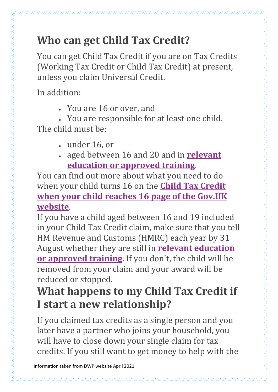You can get Child Tax Credit if you are on Tax Credits (Working Tax Credit or Child Tax Credit) at present, unless you claim Universal Credit.

In addition:

• You are 16 or over, and

• You are responsible for at least one child. The child must be:

- under 16, or
- aged between 16 and 20 and in **[relevant](https://www.turn2us.org.uk/jargon-buster/Relevant-education) [education](https://www.turn2us.org.uk/jargon-buster/Relevant-education) or approved training**.

You can find out more about what you need to do when your child turns 16 on the **Child Tax [Credit](http://www.gov.uk/child-tax-credit-when-child-reaches-16) when your child [reaches](http://www.gov.uk/child-tax-credit-when-child-reaches-16) 16 page of the Gov.UK [website](http://www.gov.uk/child-tax-credit-when-child-reaches-16)**.

If you have a child aged between 16 and 19 included in your Child Tax Credit claim, make sure that you tell HM Revenue and Customs (HMRC) each year by 31 August whether they are still in **relevant [education](https://www.turn2us.org.uk/jargon-buster/Relevant-education) or [approved](https://www.turn2us.org.uk/jargon-buster/Relevant-education) training**. If you don't, the child will be removed from your claim and your award will be reduced or stopped.

### **What happens to my Child Tax Credit if I start a new relationship?**

If you claimed tax credits as a single person and you later have a partner who joins your household, you will have to close down your single claim for tax credits. If you still want to get money to help with the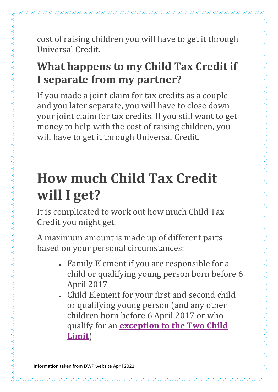cost of raising children you will have to get it through Universal Credit.

## **What happens to my Child Tax Credit if I separate from my partner?**

If you made a joint claim for tax credits as a couple and you later separate, you will have to close down your joint claim for tax credits. If you still want to get money to help with the cost of raising children, you will have to get it through Universal Credit.

# **How much Child Tax Credit will I get?**

It is complicated to work out how much Child Tax Credit you might get.

A maximum amount is made up of different parts based on your personal circumstances:

- Family Element if you are responsible for a child or qualifying young person born before 6 April 2017
- Child Element for your first and second child or qualifying young person (and any other children born before 6 April 2017 or who qualify for an **[exception](https://www.turn2us.org.uk/Jargon-buster/Two-Child-Limit-Exception) to the Two Child [Limit](https://www.turn2us.org.uk/Jargon-buster/Two-Child-Limit-Exception)**)

Information taken from DWP website April 2021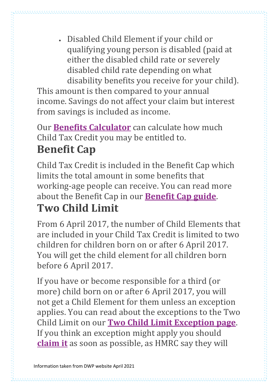• Disabled Child Element if your child or qualifying young person is disabled (paid at either the disabled child rate or severely disabled child rate depending on what disability benefits you receive for your child).

This amount is then compared to your annual income. Savings do not affect your claim but interest from savings is included as income.

Our **Benefits [Calculator](https://www.turn2us.org.uk/Benefits-Calculator-redirect)** can calculate how much Child Tax Credit you may be entitled to.

## **Benefit Cap**

Child Tax Credit is included in the Benefit Cap which limits the total amount in some benefits that working-age people can receive. You can read more about the Benefit Cap in our **[Benefit](https://www.turn2us.org.uk/Benefit-guides/Benefit-Cap/What-is-the-Benefit-Cap) Cap guide**.

## **Two Child Limit**

From 6 April 2017, the number of Child Elements that are included in your Child Tax Credit is limited to two children for children born on or after 6 April 2017. You will get the child element for all children born before 6 April 2017.

If you have or become responsible for a third (or more) child born on or after 6 April 2017, you will not get a Child Element for them unless an exception applies. You can read about the exceptions to the Two Child Limit on our **Two Child Limit [Exception](https://www.turn2us.org.uk/Jargon-buster/Two-Child-Limit-Exception) page**. If you think an exception might apply you should **[claim](https://www.gov.uk/guidance/child-tax-credit-exceptions-to-the-2-child-limit#what-to-do-if-an-exception-applies-to-you) it** as soon as possible, as HMRC say they will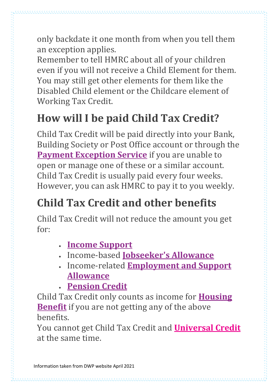only backdate it one month from when you tell them an exception applies.

Remember to tell HMRC about all of your children even if you will not receive a Child Element for them. You may still get other elements for them like the Disabled Child element or the Childcare element of Working Tax Credit.

## **How will I be paid Child Tax Credit?**

Child Tax Credit will be paid directly into your Bank, Building Society or Post Office account or through the **Payment [Exception](https://www.gov.uk/payment-exception-service) Service** if you are unable to open or manage one of these or a similar account. Child Tax Credit is usually paid every four weeks. However, you can ask HMRC to pay it to you weekly.

## **Child Tax Credit and other benefits**

Child Tax Credit will not reduce the amount you get for:

- **Income [Support](https://www.turn2us.org.uk/Benefit-guides/Income-Support/What-is-Income-Support)**
- Income-based **[Jobseeker's](https://www.turn2us.org.uk/Benefit-guides/Jobseeker-s-Allowance/Can-I-get-Jobseeker-s-Allowance) Allowance**
- Income-related **[Employment](https://www.turn2us.org.uk/Benefit-guides/Employment-and-Support-Allowance/Who-can-get-Employment-and-Support-Allowance) and Support [Allowance](https://www.turn2us.org.uk/Benefit-guides/Employment-and-Support-Allowance/Who-can-get-Employment-and-Support-Allowance)**
- **[Pension](https://www.turn2us.org.uk/Benefit-guides/Pension-Credit/What-is-Pension-Credit) Credit**

Child Tax Credit only counts as income for **[Housing](https://www.turn2us.org.uk/Benefit-guides/Housing-Benefit-(England-Scotland-and-Wales)/What-is-Housing-Benefit) [Benefit](https://www.turn2us.org.uk/Benefit-guides/Housing-Benefit-(England-Scotland-and-Wales)/What-is-Housing-Benefit)** if you are not getting any of the above benefits.

You cannot get Child Tax Credit and **[Universal](https://www.turn2us.org.uk/Benefit-guides/Universal-Credit/What-is-Universal-Credit) Credit** at the same time.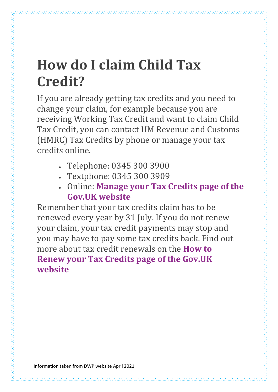# **How do I claim Child Tax Credit?**

If you are already getting tax credits and you need to change your claim, for example because you are receiving Working Tax Credit and want to claim Child Tax Credit, you can contact HM Revenue and Customs (HMRC) Tax Credits by phone or manage your tax credits online.

- Telephone: 0345 300 3900
- Textphone: 0345 300 3909
- Online: **[Manage](https://www.gov.uk/manage-your-tax-credits) your Tax Credits page of the Gov.UK [website](https://www.gov.uk/manage-your-tax-credits)**

Remember that your tax credits claim has to be renewed every year by 31 July. If you do not renew your claim, your tax credit payments may stop and you may have to pay some tax credits back. Find out more about tax credit renewals on the **[How](https://www.gov.uk/renewing-your-tax-credits-claim) to Renew your Tax Credits page of the [Gov.UK](https://www.gov.uk/renewing-your-tax-credits-claim) [website](https://www.gov.uk/renewing-your-tax-credits-claim)**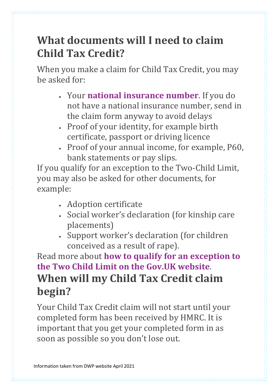## **What documents will I need to claim Child Tax Credit?**

When you make a claim for Child Tax Credit, you may be asked for:

- Your **national [insurance](https://www.turn2us.org.uk/Benefit-guides/National-insurance-contributions-(NIC)/What-is-a-national-insurance-number-(1)) number**. If you do not have a national insurance number, send in the claim form anyway to avoid delays
- Proof of your identity, for example birth certificate, passport or driving licence
- Proof of your annual income, for example, P60, bank statements or pay slips.

If you qualify for an exception to the Two-Child Limit, you may also be asked for other documents, for example:

- Adoption certificate
- Social worker's declaration (for kinship care placements)
- Support worker's declaration (for children conceived as a result of rape).

Read more about **how to qualify for an [exception](http://www.gov.uk/child-tax-credit/overview) to the Two Child Limit on the Gov.UK [website](http://www.gov.uk/child-tax-credit/overview)**. **When will my Child Tax Credit claim begin?**

Your Child Tax Credit claim will not start until your completed form has been received by HMRC. It is important that you get your completed form in as soon as possible so you don't lose out.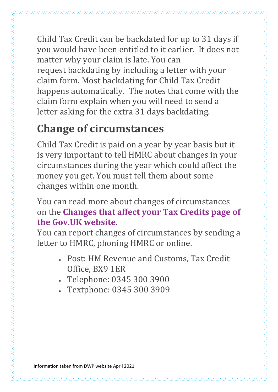Child Tax Credit can be backdated for up to 31 days if you would have been entitled to it earlier. It does not matter why your claim is late. You can request backdating by including a letter with your claim form. Most backdating for Child Tax Credit happens automatically. The notes that come with the claim form explain when you will need to send a letter asking for the extra 31 days backdating.

## **Change of circumstances**

Child Tax Credit is paid on a year by year basis but it is very important to tell HMRC about changes in your circumstances during the year which could affect the money you get. You must tell them about some changes within one month.

You can read more about changes of circumstances on the **[Changes](https://www.gov.uk/changes-affect-tax-credits) that affect your Tax Credits page of the Gov.UK [website](https://www.gov.uk/changes-affect-tax-credits)**.

You can report changes of circumstances by sending a letter to HMRC, phoning HMRC or online.

- Post: HM Revenue and Customs, Tax Credit Office, BX9 1ER
- Telephone: 0345 300 3900
- Textphone: 0345 300 3909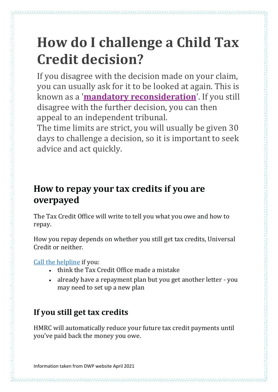## **How do I challenge a Child Tax Credit decision?**

If you disagree with the decision made on your claim, you can usually ask for it to be looked at again. This is known as a '**mandatory [reconsideration](https://www.turn2us.org.uk/Jargon-buster/Mandatory-Reconsideration)**'. If you still disagree with the further decision, you can then appeal to an independent tribunal.

The time limits are strict, you will usually be given 30 days to challenge a decision, so it is important to seek advice and act quickly.

### **How to repay your tax credits if you are overpayed**

The Tax Credit Office will write to tell you what you owe and how to repay.

How you repay depends on whether you still get tax credits, Universal Credit or neither.

Call the [helpline](https://www.gov.uk/government/organisations/hm-revenue-customs/contact/tax-credits-enquiries) if you:

- think the Tax Credit Office made a mistake
- already have a repayment plan but you get another letter you may need to set up a new plan

### **If you still get tax credits**

HMRC will automatically reduce your future tax credit payments until you've paid back the money you owe.